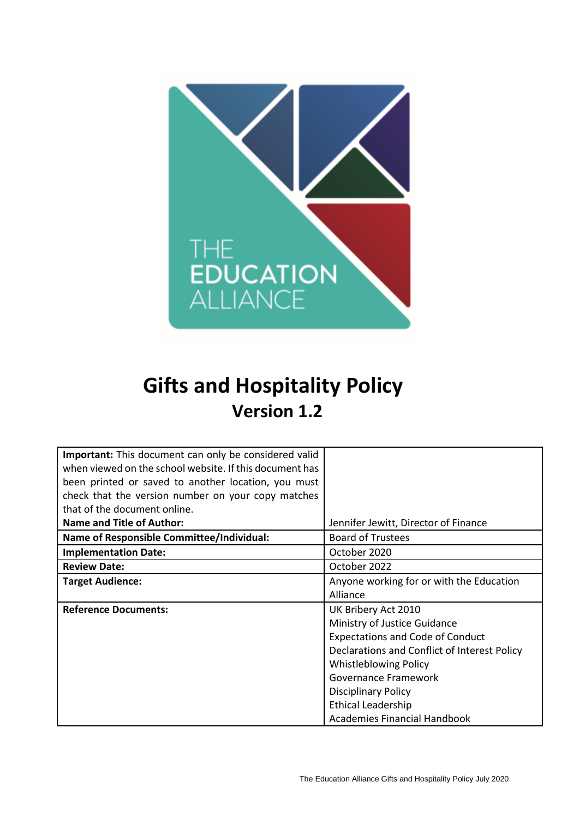

# **Gifts and Hospitality Policy Version 1.2**

| <b>Important:</b> This document can only be considered valid |                                              |  |  |
|--------------------------------------------------------------|----------------------------------------------|--|--|
| when viewed on the school website. If this document has      |                                              |  |  |
| been printed or saved to another location, you must          |                                              |  |  |
| check that the version number on your copy matches           |                                              |  |  |
| that of the document online.                                 |                                              |  |  |
| <b>Name and Title of Author:</b>                             | Jennifer Jewitt, Director of Finance         |  |  |
| <b>Name of Responsible Committee/Individual:</b>             | <b>Board of Trustees</b>                     |  |  |
| <b>Implementation Date:</b>                                  | October 2020                                 |  |  |
| <b>Review Date:</b>                                          | October 2022                                 |  |  |
| <b>Target Audience:</b>                                      | Anyone working for or with the Education     |  |  |
|                                                              | Alliance                                     |  |  |
| <b>Reference Documents:</b>                                  | UK Bribery Act 2010                          |  |  |
|                                                              | Ministry of Justice Guidance                 |  |  |
|                                                              | <b>Expectations and Code of Conduct</b>      |  |  |
|                                                              | Declarations and Conflict of Interest Policy |  |  |
|                                                              | <b>Whistleblowing Policy</b>                 |  |  |
|                                                              | Governance Framework                         |  |  |
|                                                              | <b>Disciplinary Policy</b>                   |  |  |
|                                                              | <b>Ethical Leadership</b>                    |  |  |
|                                                              | <b>Academies Financial Handbook</b>          |  |  |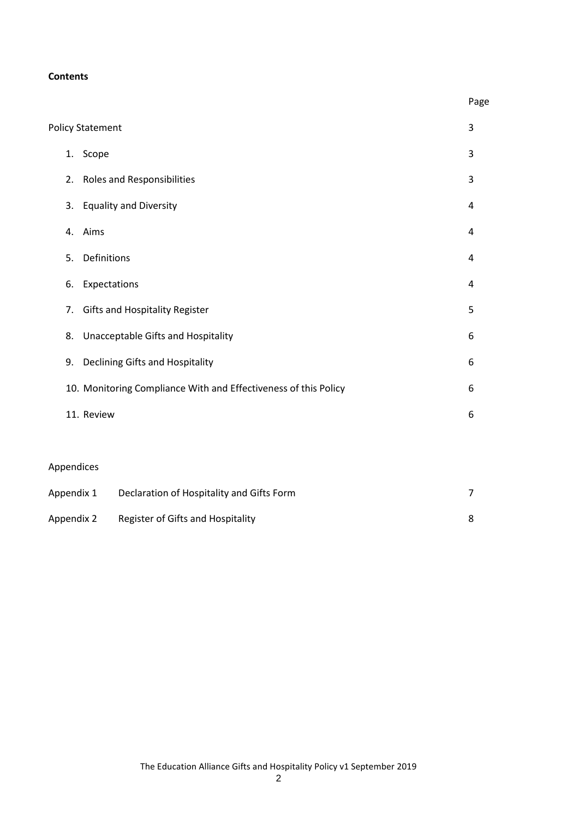#### **Contents**

|                                                                 |                                             |                                           | Page           |  |
|-----------------------------------------------------------------|---------------------------------------------|-------------------------------------------|----------------|--|
|                                                                 |                                             | <b>Policy Statement</b>                   | 3              |  |
|                                                                 | 1.                                          | Scope                                     |                |  |
|                                                                 | 2.                                          | <b>Roles and Responsibilities</b>         | 3              |  |
|                                                                 | 3.                                          | <b>Equality and Diversity</b>             | 4              |  |
|                                                                 | 4.                                          | Aims                                      | 4              |  |
|                                                                 | Definitions<br>5.                           |                                           |                |  |
|                                                                 | 6.                                          | Expectations                              |                |  |
|                                                                 | <b>Gifts and Hospitality Register</b><br>7. |                                           |                |  |
|                                                                 | 8.                                          | Unacceptable Gifts and Hospitality        |                |  |
|                                                                 | 9.                                          | Declining Gifts and Hospitality           |                |  |
| 10. Monitoring Compliance With and Effectiveness of this Policy |                                             |                                           | 6              |  |
| 11. Review                                                      |                                             |                                           | 6              |  |
|                                                                 |                                             |                                           |                |  |
|                                                                 |                                             | Appendices                                |                |  |
| Appendix 1                                                      |                                             | Declaration of Hospitality and Gifts Form | $\overline{7}$ |  |
| Register of Gifts and Hospitality<br>Appendix 2                 |                                             | 8                                         |                |  |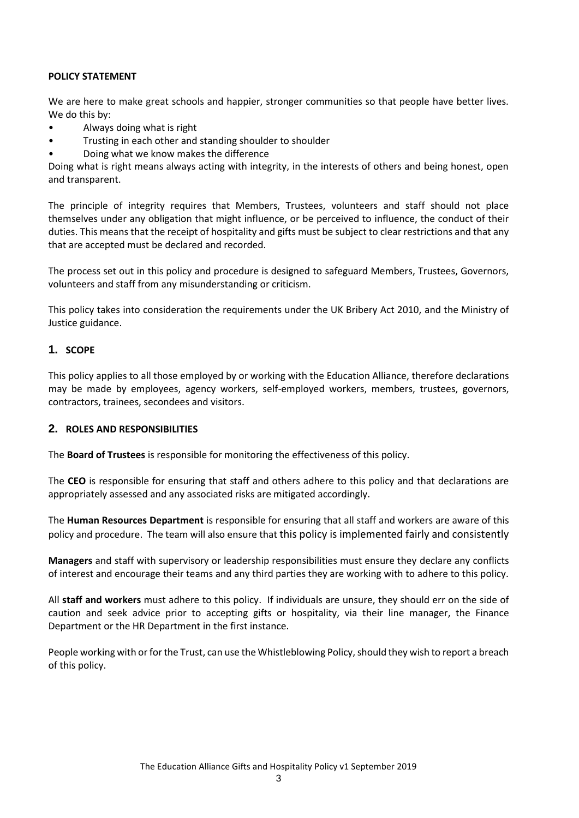#### **POLICY STATEMENT**

We are here to make great schools and happier, stronger communities so that people have better lives. We do this by:

- Always doing what is right
- Trusting in each other and standing shoulder to shoulder
- Doing what we know makes the difference

Doing what is right means always acting with integrity, in the interests of others and being honest, open and transparent.

The principle of integrity requires that Members, Trustees, volunteers and staff should not place themselves under any obligation that might influence, or be perceived to influence, the conduct of their duties. This means that the receipt of hospitality and gifts must be subject to clear restrictions and that any that are accepted must be declared and recorded.

The process set out in this policy and procedure is designed to safeguard Members, Trustees, Governors, volunteers and staff from any misunderstanding or criticism.

This policy takes into consideration the requirements under the UK Bribery Act 2010, and the Ministry of Justice guidance.

#### **1. SCOPE**

This policy applies to all those employed by or working with the Education Alliance, therefore declarations may be made by employees, agency workers, self-employed workers, members, trustees, governors, contractors, trainees, secondees and visitors.

#### **2. ROLES AND RESPONSIBILITIES**

The **Board of Trustees** is responsible for monitoring the effectiveness of this policy.

The **CEO** is responsible for ensuring that staff and others adhere to this policy and that declarations are appropriately assessed and any associated risks are mitigated accordingly.

The **Human Resources Department** is responsible for ensuring that all staff and workers are aware of this policy and procedure. The team will also ensure that this policy is implemented fairly and consistently

**Managers** and staff with supervisory or leadership responsibilities must ensure they declare any conflicts of interest and encourage their teams and any third parties they are working with to adhere to this policy.

All **staff and workers** must adhere to this policy. If individuals are unsure, they should err on the side of caution and seek advice prior to accepting gifts or hospitality, via their line manager, the Finance Department or the HR Department in the first instance.

People working with or for the Trust, can use the Whistleblowing Policy, should they wish to report a breach of this policy.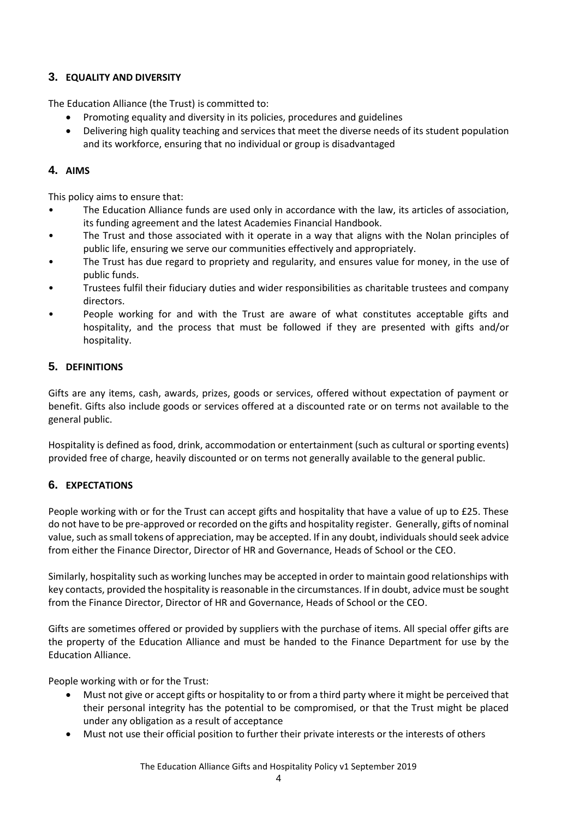# **3. EQUALITY AND DIVERSITY**

The Education Alliance (the Trust) is committed to:

- Promoting equality and diversity in its policies, procedures and guidelines
- Delivering high quality teaching and services that meet the diverse needs of its student population and its workforce, ensuring that no individual or group is disadvantaged

# **4. AIMS**

This policy aims to ensure that:

- The Education Alliance funds are used only in accordance with the law, its articles of association, its funding agreement and the latest Academies Financial Handbook.
- The Trust and those associated with it operate in a way that aligns with the Nolan principles of public life, ensuring we serve our communities effectively and appropriately.
- The Trust has due regard to propriety and regularity, and ensures value for money, in the use of public funds.
- Trustees fulfil their fiduciary duties and wider responsibilities as charitable trustees and company directors.
- People working for and with the Trust are aware of what constitutes acceptable gifts and hospitality, and the process that must be followed if they are presented with gifts and/or hospitality.

# **5. DEFINITIONS**

Gifts are any items, cash, awards, prizes, goods or services, offered without expectation of payment or benefit. Gifts also include goods or services offered at a discounted rate or on terms not available to the general public.

Hospitality is defined as food, drink, accommodation or entertainment (such as cultural or sporting events) provided free of charge, heavily discounted or on terms not generally available to the general public.

# **6. EXPECTATIONS**

People working with or for the Trust can accept gifts and hospitality that have a value of up to £25. These do not have to be pre-approved or recorded on the gifts and hospitality register. Generally, gifts of nominal value, such as small tokens of appreciation, may be accepted. If in any doubt, individuals should seek advice from either the Finance Director, Director of HR and Governance, Heads of School or the CEO.

Similarly, hospitality such as working lunches may be accepted in order to maintain good relationships with key contacts, provided the hospitality is reasonable in the circumstances. If in doubt, advice must be sought from the Finance Director, Director of HR and Governance, Heads of School or the CEO.

Gifts are sometimes offered or provided by suppliers with the purchase of items. All special offer gifts are the property of the Education Alliance and must be handed to the Finance Department for use by the Education Alliance.

People working with or for the Trust:

- Must not give or accept gifts or hospitality to or from a third party where it might be perceived that their personal integrity has the potential to be compromised, or that the Trust might be placed under any obligation as a result of acceptance
- Must not use their official position to further their private interests or the interests of others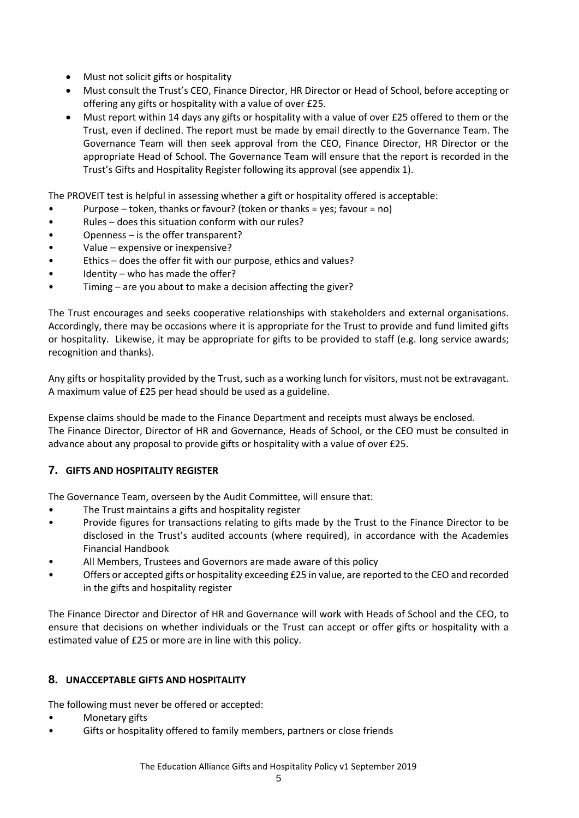- Must not solicit gifts or hospitality
- Must consult the Trust's CEO, Finance Director, HR Director or Head of School, before accepting or offering any gifts or hospitality with a value of over £25.
- Must report within 14 days any gifts or hospitality with a value of over £25 offered to them or the Trust, even if declined. The report must be made by email directly to the Governance Team. The Governance Team will then seek approval from the CEO, Finance Director, HR Director or the appropriate Head of School. The Governance Team will ensure that the report is recorded in the Trust's Gifts and Hospitality Register following its approval (see appendix 1).

The PROVEIT test is helpful in assessing whether a gift or hospitality offered is acceptable:

- Purpose token, thanks or favour? (token or thanks = yes; favour = no)
- Rules does this situation conform with our rules?
- Openness is the offer transparent?
- Value expensive or inexpensive?
- Ethics does the offer fit with our purpose, ethics and values?
- Identity who has made the offer?
- Timing are you about to make a decision affecting the giver?

The Trust encourages and seeks cooperative relationships with stakeholders and external organisations. Accordingly, there may be occasions where it is appropriate for the Trust to provide and fund limited gifts or hospitality. Likewise, it may be appropriate for gifts to be provided to staff (e.g. long service awards; recognition and thanks).

Any gifts or hospitality provided by the Trust, such as a working lunch for visitors, must not be extravagant. A maximum value of £25 per head should be used as a guideline.

Expense claims should be made to the Finance Department and receipts must always be enclosed. The Finance Director, Director of HR and Governance, Heads of School, or the CEO must be consulted in advance about any proposal to provide gifts or hospitality with a value of over £25.

### **7. GIFTS AND HOSPITALITY REGISTER**

The Governance Team, overseen by the Audit Committee, will ensure that:

- The Trust maintains a gifts and hospitality register
- Provide figures for transactions relating to gifts made by the Trust to the Finance Director to be disclosed in the Trust's audited accounts (where required), in accordance with the Academies Financial Handbook
- All Members, Trustees and Governors are made aware of this policy
- Offers or accepted gifts or hospitality exceeding £25 in value, are reported to the CEO and recorded in the gifts and hospitality register

The Finance Director and Director of HR and Governance will work with Heads of School and the CEO, to ensure that decisions on whether individuals or the Trust can accept or offer gifts or hospitality with a estimated value of £25 or more are in line with this policy.

### **8. UNACCEPTABLE GIFTS AND HOSPITALITY**

The following must never be offered or accepted:

- Monetary gifts
- Gifts or hospitality offered to family members, partners or close friends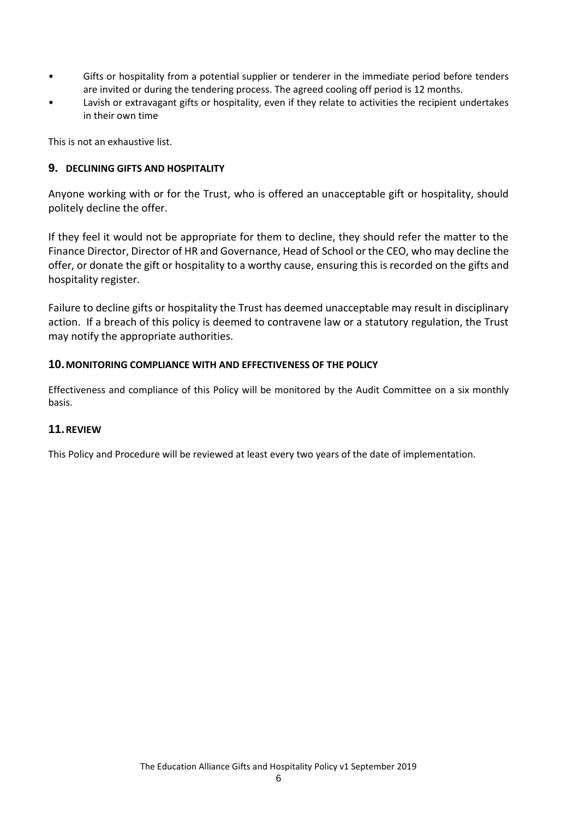- Gifts or hospitality from a potential supplier or tenderer in the immediate period before tenders are invited or during the tendering process. The agreed cooling off period is 12 months.
- Lavish or extravagant gifts or hospitality, even if they relate to activities the recipient undertakes in their own time

This is not an exhaustive list.

#### **9. DECLINING GIFTS AND HOSPITALITY**

Anyone working with or for the Trust, who is offered an unacceptable gift or hospitality, should politely decline the offer.

If they feel it would not be appropriate for them to decline, they should refer the matter to the Finance Director, Director of HR and Governance, Head of School or the CEO, who may decline the offer, or donate the gift or hospitality to a worthy cause, ensuring this is recorded on the gifts and hospitality register.

Failure to decline gifts or hospitality the Trust has deemed unacceptable may result in disciplinary action. If a breach of this policy is deemed to contravene law or a statutory regulation, the Trust may notify the appropriate authorities.

#### **10.MONITORING COMPLIANCE WITH AND EFFECTIVENESS OF THE POLICY**

Effectiveness and compliance of this Policy will be monitored by the Audit Committee on a six monthly basis.

#### **11.REVIEW**

This Policy and Procedure will be reviewed at least every two years of the date of implementation.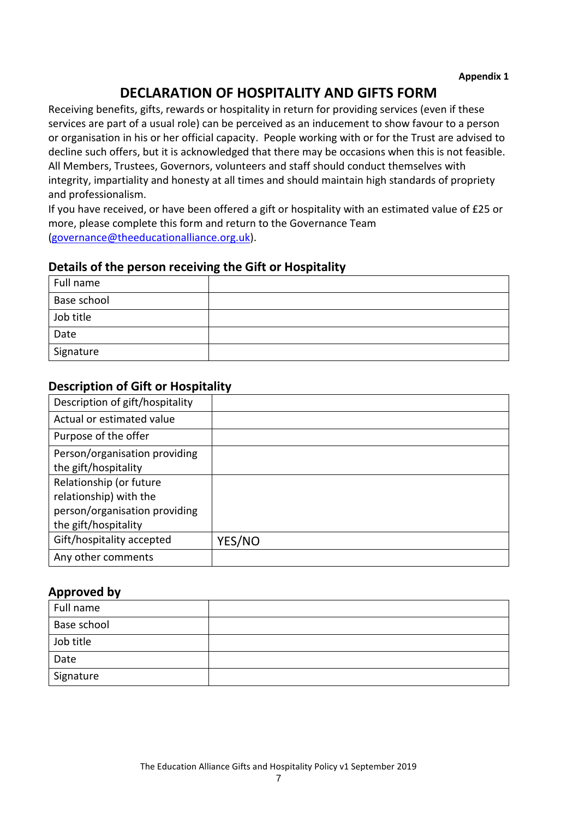# **DECLARATION OF HOSPITALITY AND GIFTS FORM**

Receiving benefits, gifts, rewards or hospitality in return for providing services (even if these services are part of a usual role) can be perceived as an inducement to show favour to a person or organisation in his or her official capacity. People working with or for the Trust are advised to decline such offers, but it is acknowledged that there may be occasions when this is not feasible. All Members, Trustees, Governors, volunteers and staff should conduct themselves with integrity, impartiality and honesty at all times and should maintain high standards of propriety and professionalism.

If you have received, or have been offered a gift or hospitality with an estimated value of £25 or more, please complete this form and return to the Governance Team [\(governance@theeducationalliance.org.uk\)](mailto:governance@theeducationalliance.org.uk).

### **Details of the person receiving the Gift or Hospitality**

| Full name   |  |
|-------------|--|
| Base school |  |
| Job title   |  |
| Date        |  |
| Signature   |  |

# **Description of Gift or Hospitality**

| Description of gift/hospitality |               |
|---------------------------------|---------------|
| Actual or estimated value       |               |
| Purpose of the offer            |               |
| Person/organisation providing   |               |
| the gift/hospitality            |               |
| Relationship (or future         |               |
| relationship) with the          |               |
| person/organisation providing   |               |
| the gift/hospitality            |               |
| Gift/hospitality accepted       | <b>YES/NO</b> |
| Any other comments              |               |

### **Approved by**

| Full name   |  |
|-------------|--|
| Base school |  |
| Job title   |  |
| Date        |  |
| Signature   |  |